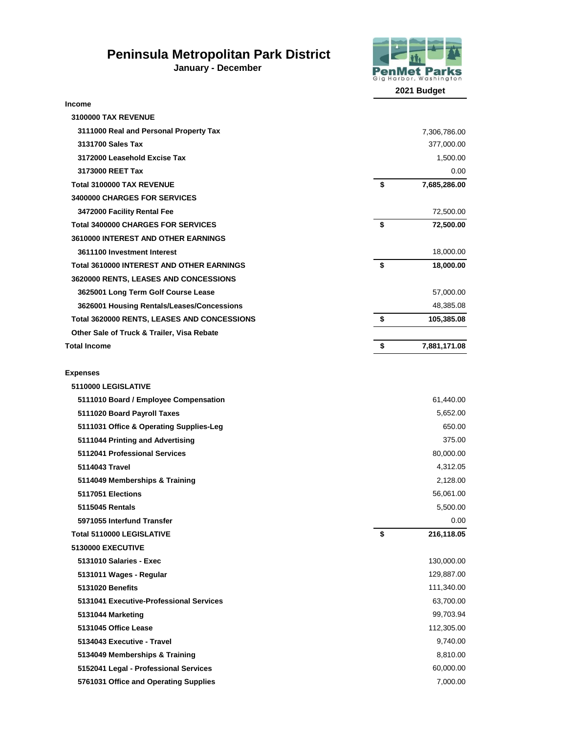## **Peninsula Metropolitan Park District**

**January - December** 



**Income 3100000 TAX REVENUE 3111000 Real and Personal Property Tax** 7,306,786.00  **3131700 Sales Tax** 377,000.00  **3172000 Leasehold Excise Tax** 1,500.00 **3173000 REET Tax** 0.00  **Total 3100000 TAX REVENUE \$ 7,685,286.00 3400000 CHARGES FOR SERVICES 3472000 Facility Rental Fee** 72,500.00  **Total 3400000 CHARGES FOR SERVICES \$ 72,500.00 3610000 INTEREST AND OTHER EARNINGS 3611100 Investment Interest** 18,000.00  **Total 3610000 INTEREST AND OTHER EARNINGS \$ 18,000.00 3620000 RENTS, LEASES AND CONCESSIONS 3625001 Long Term Golf Course Lease** 57,000.00  **3626001 Housing Rentals/Leases/Concessions** 48,385.08  **Total 3620000 RENTS, LEASES AND CONCESSIONS \$ 105,385.08 Other Sale of Truck & Trailer, Visa Rebate Total Income \$ 7,881,171.08 Expenses 5110000 LEGISLATIVE 5111010 Board / Employee Compensation** 61,440.00  **5111020 Board Payroll Taxes** 5,652.00 **5111031 Office & Operating Supplies-Leg 650.00 and 5111031 Office & Operating Supplies-Leg 650.00 and 5111031 Officers 650.00 and 5111031 of 512.00 and 512.00 and 512.00 and 512.00 and 512.00 and 512.00 and 512.00 and 512 5111044 Printing and Advertising** 375.00  **5112041 Professional Services** 80,000.00  **5114043 Travel** 4,312.05  **5114049 Memberships & Training** 2,128.00  **5117051 Elections** 56,061.00  **5115045 Rentals** 5,500.00  **5971055 Interfund Transfer** 0.00  **Total 5110000 LEGISLATIVE \$ 216,118.05** 

 **5130000 EXECUTIVE 5131010 Salaries - Exec** 130,000.00  **5131011 Wages - Regular** 129,887.00

 **5131020 Benefits** 111,340.00  **5131041 Executive-Professional Services** 63,700.00  **5131044 Marketing** 99,703.94  **5131045 Office Lease** 112,305.00  **5134043 Executive - Travel** 9,740.00 **5134049 Memberships & Training 8,810.00 and 8,810.00 and 8,810.00 and 8,810.00 and 8,810.00 and 8,810.00 and 8,810.00 and 8,810.00 and 8,810.00 and 8,810.00 and 8,810.00 and 8,810.00 and 8,810.00 and 8,810.00 and 8,810.00 5152041 Legal - Professional Services** 60,000.00 **5761031 Office and Operating Supplies** 7,000.00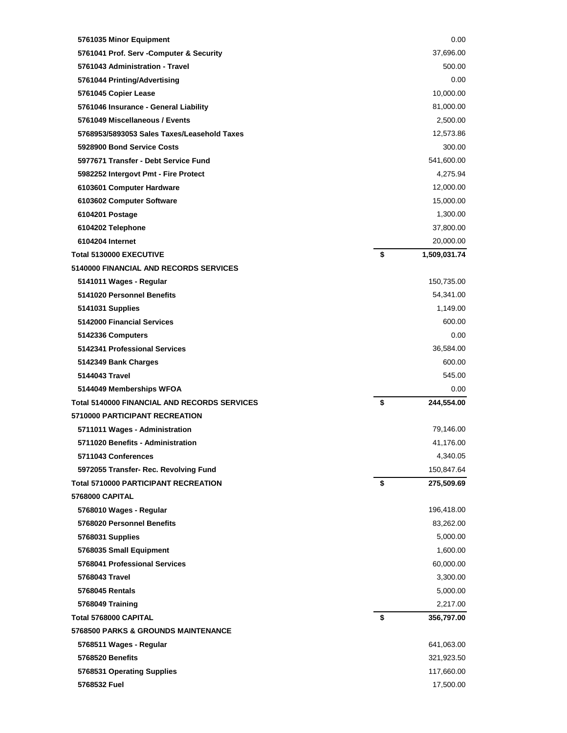| 5761035 Minor Equipment                             | 0.00               |
|-----------------------------------------------------|--------------------|
| 5761041 Prof. Serv - Computer & Security            | 37,696.00          |
| 5761043 Administration - Travel                     | 500.00             |
| 5761044 Printing/Advertising                        | 0.00               |
| 5761045 Copier Lease                                | 10,000.00          |
| 5761046 Insurance - General Liability               | 81,000.00          |
| 5761049 Miscellaneous / Events                      | 2,500.00           |
| 5768953/5893053 Sales Taxes/Leasehold Taxes         | 12,573.86          |
| 5928900 Bond Service Costs                          | 300.00             |
| 5977671 Transfer - Debt Service Fund                | 541,600.00         |
| 5982252 Intergovt Pmt - Fire Protect                | 4,275.94           |
| 6103601 Computer Hardware                           | 12,000.00          |
| 6103602 Computer Software                           | 15,000.00          |
| 6104201 Postage                                     | 1,300.00           |
| 6104202 Telephone                                   | 37,800.00          |
| 6104204 Internet                                    | 20,000.00          |
| <b>Total 5130000 EXECUTIVE</b>                      | \$<br>1,509,031.74 |
| 5140000 FINANCIAL AND RECORDS SERVICES              |                    |
| 5141011 Wages - Regular                             | 150,735.00         |
| 5141020 Personnel Benefits                          | 54,341.00          |
| 5141031 Supplies                                    | 1,149.00           |
| 5142000 Financial Services                          | 600.00             |
| 5142336 Computers                                   | 0.00               |
| 5142341 Professional Services                       | 36,584.00          |
| 5142349 Bank Charges                                | 600.00             |
| 5144043 Travel                                      | 545.00             |
| 5144049 Memberships WFOA                            | 0.00               |
| <b>Total 5140000 FINANCIAL AND RECORDS SERVICES</b> | \$<br>244,554.00   |
| 5710000 PARTICIPANT RECREATION                      |                    |
| 5711011 Wages - Administration                      | 79,146.00          |
| 5711020 Benefits - Administration                   | 41,176.00          |
| 5711043 Conferences                                 | 4,340.05           |
| 5972055 Transfer- Rec. Revolving Fund               | 150,847.64         |
| <b>Total 5710000 PARTICIPANT RECREATION</b>         | \$<br>275,509.69   |
| <b>5768000 CAPITAL</b>                              |                    |
| 5768010 Wages - Regular                             | 196,418.00         |
| 5768020 Personnel Benefits                          | 83,262.00          |
| 5768031 Supplies                                    | 5,000.00           |
| 5768035 Small Equipment                             | 1,600.00           |
| 5768041 Professional Services                       | 60,000.00          |
| 5768043 Travel                                      | 3,300.00           |
| <b>5768045 Rentals</b>                              | 5,000.00           |
| 5768049 Training                                    | 2,217.00           |
| Total 5768000 CAPITAL                               | \$<br>356,797.00   |
| 5768500 PARKS & GROUNDS MAINTENANCE                 |                    |
|                                                     |                    |
| 5768511 Wages - Regular                             | 641,063.00         |
| <b>5768520 Benefits</b>                             | 321,923.50         |
| 5768531 Operating Supplies                          | 117,660.00         |